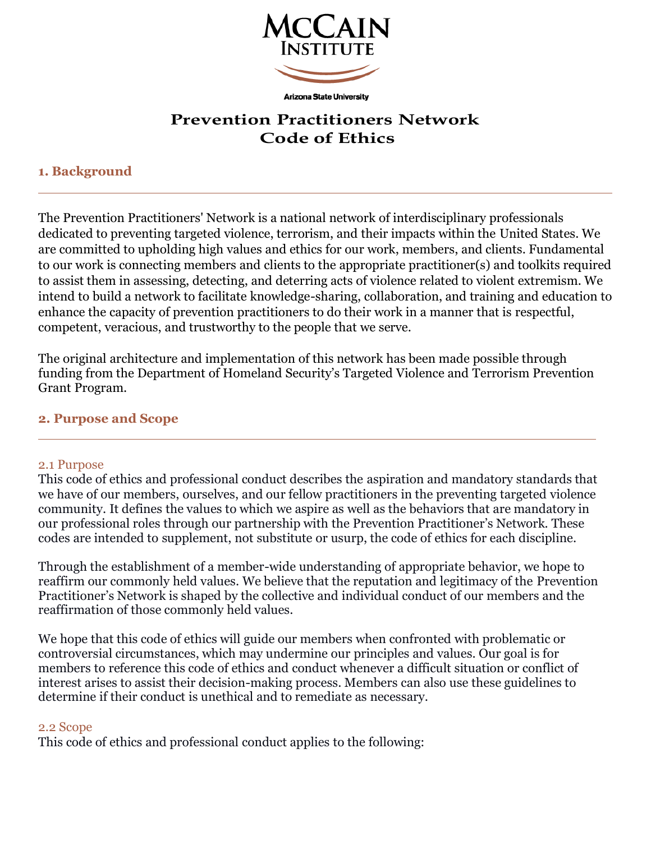

**Arizona State University** 

# **Prevention Practitioners Network Code of Ethics**

# **1. Background**

The Prevention Practitioners' Network is a national network of interdisciplinary professionals dedicated to preventing targeted violence, terrorism, and their impacts within the United States. We are committed to upholding high values and ethics for our work, members, and clients. Fundamental to our work is connecting members and clients to the appropriate practitioner(s) and toolkits required to assist them in assessing, detecting, and deterring acts of violence related to violent extremism. We intend to build a network to facilitate knowledge-sharing, collaboration, and training and education to enhance the capacity of prevention practitioners to do their work in a manner that is respectful, competent, veracious, and trustworthy to the people that we serve.

The original architecture and implementation of this network has been made possible through funding from the Department of Homeland Security's Targeted Violence and Terrorism Prevention Grant Program.

## **2. Purpose and Scope**

### 2.1 Purpose

This code of ethics and professional conduct describes the aspiration and mandatory standards that we have of our members, ourselves, and our fellow practitioners in the preventing targeted violence community. It defines the values to which we aspire as well as the behaviors that are mandatory in our professional roles through our partnership with the Prevention Practitioner's Network. These codes are intended to supplement, not substitute or usurp, the code of ethics for each discipline.

Through the establishment of a member-wide understanding of appropriate behavior, we hope to reaffirm our commonly held values. We believe that the reputation and legitimacy of the Prevention Practitioner's Network is shaped by the collective and individual conduct of our members and the reaffirmation of those commonly held values.

We hope that this code of ethics will guide our members when confronted with problematic or controversial circumstances, which may undermine our principles and values. Our goal is for members to reference this code of ethics and conduct whenever a difficult situation or conflict of interest arises to assist their decision-making process. Members can also use these guidelines to determine if their conduct is unethical and to remediate as necessary.

## 2.2 Scope

This code of ethics and professional conduct applies to the following: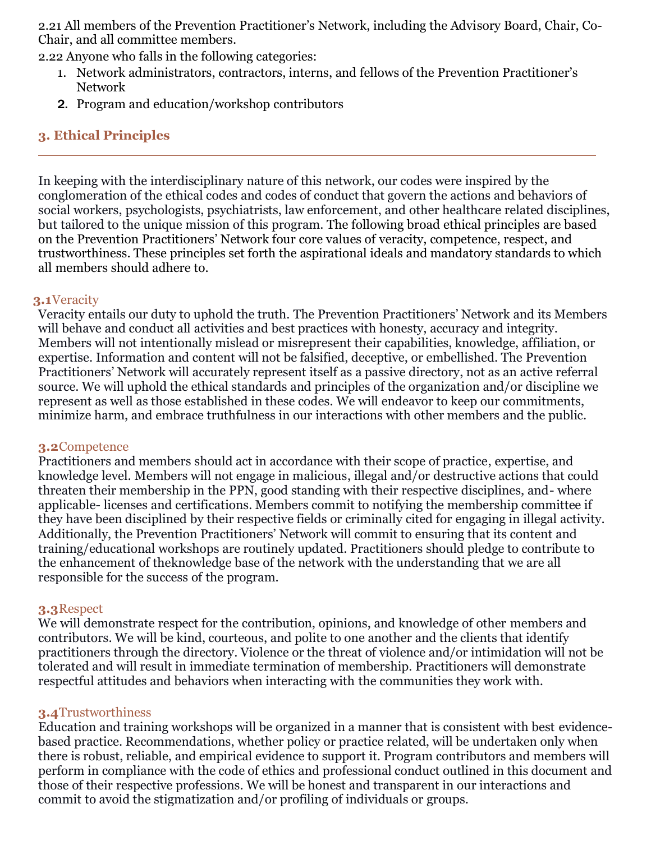2.21 All members of the Prevention Practitioner's Network, including the Advisory Board, Chair, Co-Chair, and all committee members.

2.22 Anyone who falls in the following categories:

- 1. Network administrators, contractors, interns, and fellows of the Prevention Practitioner's Network
- 2. Program and education/workshop contributors

# **3. Ethical Principles**

In keeping with the interdisciplinary nature of this network, our codes were inspired by the conglomeration of the ethical codes and codes of conduct that govern the actions and behaviors of social workers, psychologists, psychiatrists, law enforcement, and other healthcare related disciplines, but tailored to the unique mission of this program. The following broad ethical principles are based on the Prevention Practitioners' Network four core values of veracity, competence, respect, and trustworthiness. These principles set forth the aspirational ideals and mandatory standards to which all members should adhere to.

### **3.1**Veracity

Veracity entails our duty to uphold the truth. The Prevention Practitioners' Network and its Members will behave and conduct all activities and best practices with honesty, accuracy and integrity. Members will not intentionally mislead or misrepresent their capabilities, knowledge, affiliation, or expertise. Information and content will not be falsified, deceptive, or embellished. The Prevention Practitioners' Network will accurately represent itself as a passive directory, not as an active referral source. We will uphold the ethical standards and principles of the organization and/or discipline we represent as well as those established in these codes. We will endeavor to keep our commitments, minimize harm, and embrace truthfulness in our interactions with other members and the public.

#### **3.2**Competence

Practitioners and members should act in accordance with their scope of practice, expertise, and knowledge level. Members will not engage in malicious, illegal and/or destructive actions that could threaten their membership in the PPN, good standing with their respective disciplines, and- where applicable- licenses and certifications. Members commit to notifying the membership committee if they have been disciplined by their respective fields or criminally cited for engaging in illegal activity. Additionally, the Prevention Practitioners' Network will commit to ensuring that its content and training/educational workshops are routinely updated. Practitioners should pledge to contribute to the enhancement of theknowledge base of the network with the understanding that we are all responsible for the success of the program.

#### **3.3**Respect

We will demonstrate respect for the contribution, opinions, and knowledge of other members and contributors. We will be kind, courteous, and polite to one another and the clients that identify practitioners through the directory. Violence or the threat of violence and/or intimidation will not be tolerated and will result in immediate termination of membership. Practitioners will demonstrate respectful attitudes and behaviors when interacting with the communities they work with.

### **3.4**Trustworthiness

Education and training workshops will be organized in a manner that is consistent with best evidencebased practice. Recommendations, whether policy or practice related, will be undertaken only when there is robust, reliable, and empirical evidence to support it. Program contributors and members will perform in compliance with the code of ethics and professional conduct outlined in this document and those of their respective professions. We will be honest and transparent in our interactions and commit to avoid the stigmatization and/or profiling of individuals or groups.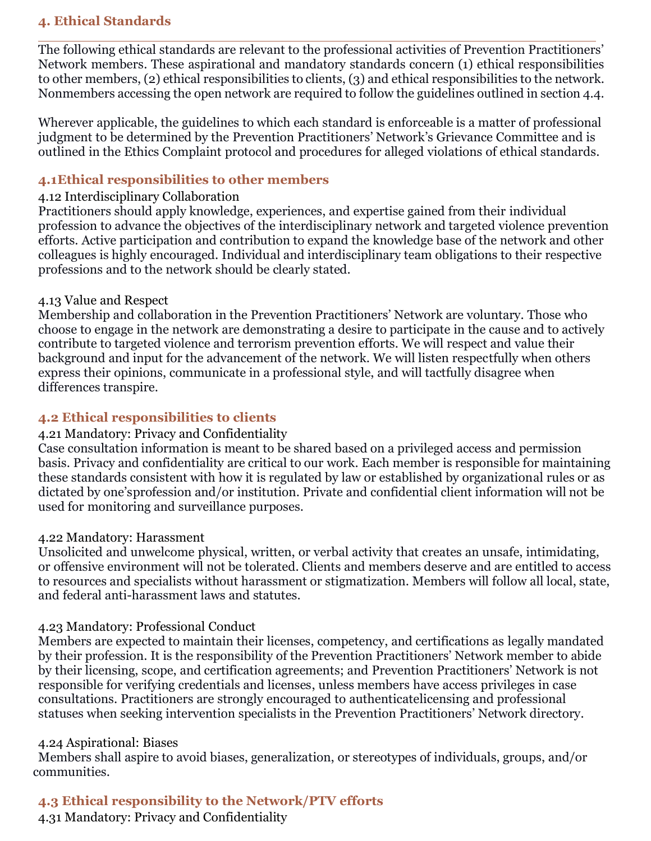## **4. Ethical Standards**

The following ethical standards are relevant to the professional activities of Prevention Practitioners' Network members. These aspirational and mandatory standards concern (1) ethical responsibilities to other members, (2) ethical responsibilities to clients, (3) and ethical responsibilities to the network. Nonmembers accessing the open network are required to follow the guidelines outlined in section 4.4.

Wherever applicable, the guidelines to which each standard is enforceable is a matter of professional judgment to be determined by the Prevention Practitioners' Network's Grievance Committee and is outlined in the Ethics Complaint protocol and procedures for alleged violations of ethical standards.

### **4.1Ethical responsibilities to other members**

## 4.12 Interdisciplinary Collaboration

Practitioners should apply knowledge, experiences, and expertise gained from their individual profession to advance the objectives of the interdisciplinary network and targeted violence prevention efforts. Active participation and contribution to expand the knowledge base of the network and other colleagues is highly encouraged. Individual and interdisciplinary team obligations to their respective professions and to the network should be clearly stated.

### 4.13 Value and Respect

Membership and collaboration in the Prevention Practitioners' Network are voluntary. Those who choose to engage in the network are demonstrating a desire to participate in the cause and to actively contribute to targeted violence and terrorism prevention efforts. We will respect and value their background and input for the advancement of the network. We will listen respectfully when others express their opinions, communicate in a professional style, and will tactfully disagree when differences transpire.

## **4.2 Ethical responsibilities to clients**

## 4.21 Mandatory: Privacy and Confidentiality

Case consultation information is meant to be shared based on a privileged access and permission basis. Privacy and confidentiality are critical to our work. Each member is responsible for maintaining these standards consistent with how it is regulated by law or established by organizational rules or as dictated by one'sprofession and/or institution. Private and confidential client information will not be used for monitoring and surveillance purposes.

### 4.22 Mandatory: Harassment

Unsolicited and unwelcome physical, written, or verbal activity that creates an unsafe, intimidating, or offensive environment will not be tolerated. Clients and members deserve and are entitled to access to resources and specialists without harassment or stigmatization. Members will follow all local, state, and federal anti-harassment laws and statutes.

## 4.23 Mandatory: Professional Conduct

Members are expected to maintain their licenses, competency, and certifications as legally mandated by their profession. It is the responsibility of the Prevention Practitioners' Network member to abide by their licensing, scope, and certification agreements; and Prevention Practitioners' Network is not responsible for verifying credentials and licenses, unless members have access privileges in case consultations. Practitioners are strongly encouraged to authenticatelicensing and professional statuses when seeking intervention specialists in the Prevention Practitioners' Network directory.

### 4.24 Aspirational: Biases

Members shall aspire to avoid biases, generalization, or stereotypes of individuals, groups, and/or communities.

# **4.3 Ethical responsibility to the Network/PTV efforts**

4.31 Mandatory: Privacy and Confidentiality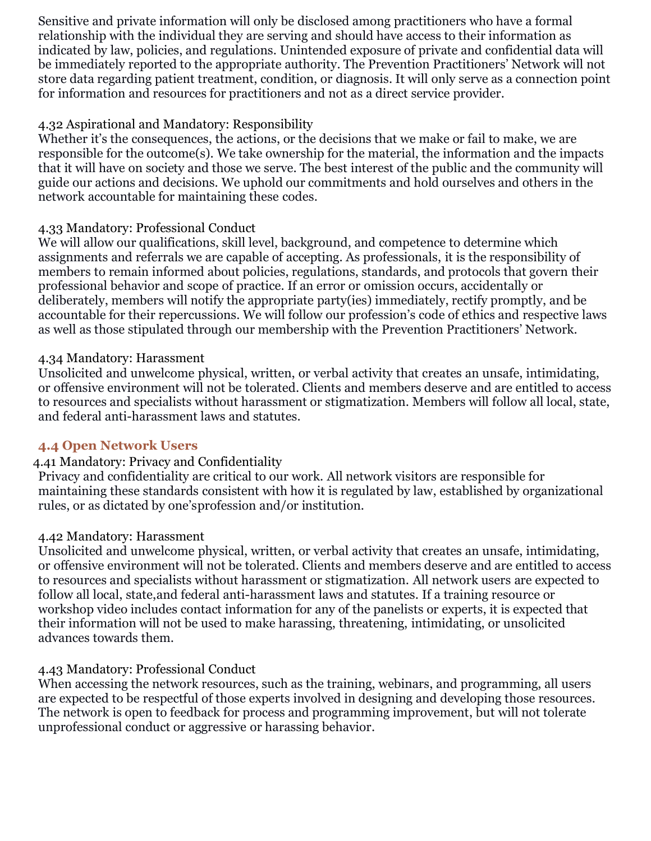Sensitive and private information will only be disclosed among practitioners who have a formal relationship with the individual they are serving and should have access to their information as indicated by law, policies, and regulations. Unintended exposure of private and confidential data will be immediately reported to the appropriate authority. The Prevention Practitioners' Network will not store data regarding patient treatment, condition, or diagnosis. It will only serve as a connection point for information and resources for practitioners and not as a direct service provider.

## 4.32 Aspirational and Mandatory: Responsibility

Whether it's the consequences, the actions, or the decisions that we make or fail to make, we are responsible for the outcome(s). We take ownership for the material, the information and the impacts that it will have on society and those we serve. The best interest of the public and the community will guide our actions and decisions. We uphold our commitments and hold ourselves and others in the network accountable for maintaining these codes.

## 4.33 Mandatory: Professional Conduct

We will allow our qualifications, skill level, background, and competence to determine which assignments and referrals we are capable of accepting. As professionals, it is the responsibility of members to remain informed about policies, regulations, standards, and protocols that govern their professional behavior and scope of practice. If an error or omission occurs, accidentally or deliberately, members will notify the appropriate party(ies) immediately, rectify promptly, and be accountable for their repercussions. We will follow our profession's code of ethics and respective laws as well as those stipulated through our membership with the Prevention Practitioners' Network.

### 4.34 Mandatory: Harassment

Unsolicited and unwelcome physical, written, or verbal activity that creates an unsafe, intimidating, or offensive environment will not be tolerated. Clients and members deserve and are entitled to access to resources and specialists without harassment or stigmatization. Members will follow all local, state, and federal anti-harassment laws and statutes.

## **4.4 Open Network Users**

## 4.41 Mandatory: Privacy and Confidentiality

Privacy and confidentiality are critical to our work. All network visitors are responsible for maintaining these standards consistent with how it is regulated by law, established by organizational rules, or as dictated by one'sprofession and/or institution.

### 4.42 Mandatory: Harassment

Unsolicited and unwelcome physical, written, or verbal activity that creates an unsafe, intimidating, or offensive environment will not be tolerated. Clients and members deserve and are entitled to access to resources and specialists without harassment or stigmatization. All network users are expected to follow all local, state,and federal anti-harassment laws and statutes. If a training resource or workshop video includes contact information for any of the panelists or experts, it is expected that their information will not be used to make harassing, threatening, intimidating, or unsolicited advances towards them.

### 4.43 Mandatory: Professional Conduct

When accessing the network resources, such as the training, webinars, and programming, all users are expected to be respectful of those experts involved in designing and developing those resources. The network is open to feedback for process and programming improvement, but will not tolerate unprofessional conduct or aggressive or harassing behavior.